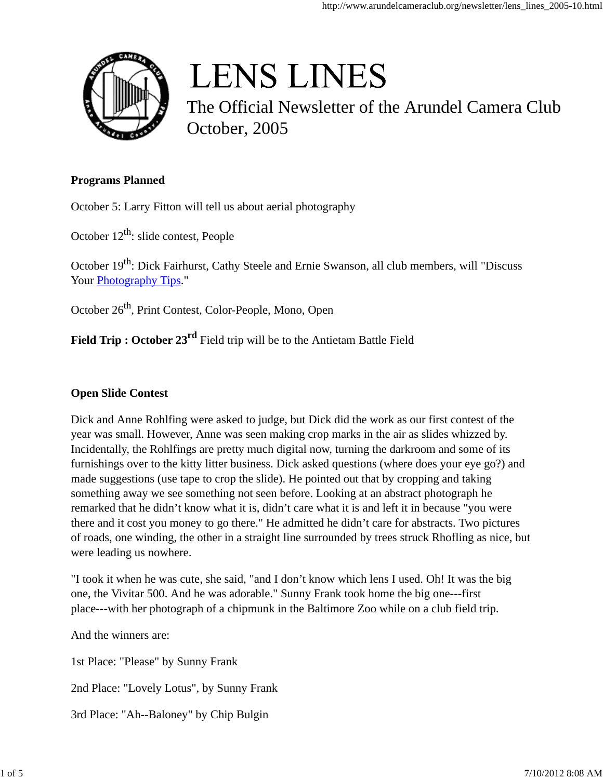

# **LENS LINES**

The Official Newsletter of the Arundel Camera Club October, 2005

#### **Programs Planned**

October 5: Larry Fitton will tell us about aerial photography

October  $12^{th}$ : slide contest, People

October 19<sup>th</sup>: Dick Fairhurst, Cathy Steele and Ernie Swanson, all club members, will "Discuss Your **Photography Tips.**"

October 26<sup>th</sup>, Print Contest, Color-People, Mono, Open

**Field Trip : October 23rd** Field trip will be to the Antietam Battle Field

#### **Open Slide Contest**

Dick and Anne Rohlfing were asked to judge, but Dick did the work as our first contest of the year was small. However, Anne was seen making crop marks in the air as slides whizzed by. Incidentally, the Rohlfings are pretty much digital now, turning the darkroom and some of its furnishings over to the kitty litter business. Dick asked questions (where does your eye go?) and made suggestions (use tape to crop the slide). He pointed out that by cropping and taking something away we see something not seen before. Looking at an abstract photograph he remarked that he didn't know what it is, didn't care what it is and left it in because "you were there and it cost you money to go there." He admitted he didn't care for abstracts. Two pictures of roads, one winding, the other in a straight line surrounded by trees struck Rhofling as nice, but were leading us nowhere.

"I took it when he was cute, she said, "and I don't know which lens I used. Oh! It was the big one, the Vivitar 500. And he was adorable." Sunny Frank took home the big one---first place---with her photograph of a chipmunk in the Baltimore Zoo while on a club field trip.

And the winners are:

1st Place: "Please" by Sunny Frank 2nd Place: "Lovely Lotus", by Sunny Frank

3rd Place: "Ah--Baloney" by Chip Bulgin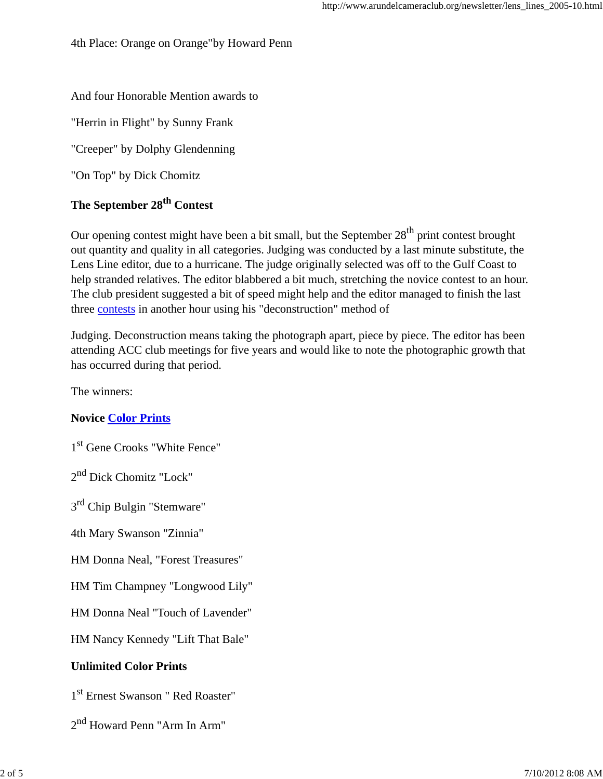4th Place: Orange on Orange"by Howard Penn

### And four Honorable Mention awards to

"Herrin in Flight" by Sunny Frank

"Creeper" by Dolphy Glendenning

"On Top" by Dick Chomitz

# **The September 28th Contest**

Our opening contest might have been a bit small, but the September  $28<sup>th</sup>$  print contest brought out quantity and quality in all categories. Judging was conducted by a last minute substitute, the Lens Line editor, due to a hurricane. The judge originally selected was off to the Gulf Coast to help stranded relatives. The editor blabbered a bit much, stretching the novice contest to an hour. The club president suggested a bit of speed might help and the editor managed to finish the last three contests in another hour using his "deconstruction" method of

Judging. Deconstruction means taking the photograph apart, piece by piece. The editor has been attending ACC club meetings for five years and would like to note the photographic growth that has occurred during that period.

The winners:

### **Novice Color Prints**

1 st Gene Crooks "White Fence"

2<sup>nd</sup> Dick Chomitz "Lock"

3<sup>rd</sup> Chip Bulgin "Stemware"

4th Mary Swanson "Zinnia"

HM Donna Neal, "Forest Treasures"

HM Tim Champney "Longwood Lily"

HM Donna Neal "Touch of Lavender"

HM Nancy Kennedy "Lift That Bale"

### **Unlimited Color Prints**

1 st Ernest Swanson " Red Roaster"

2 nd Howard Penn "Arm In Arm"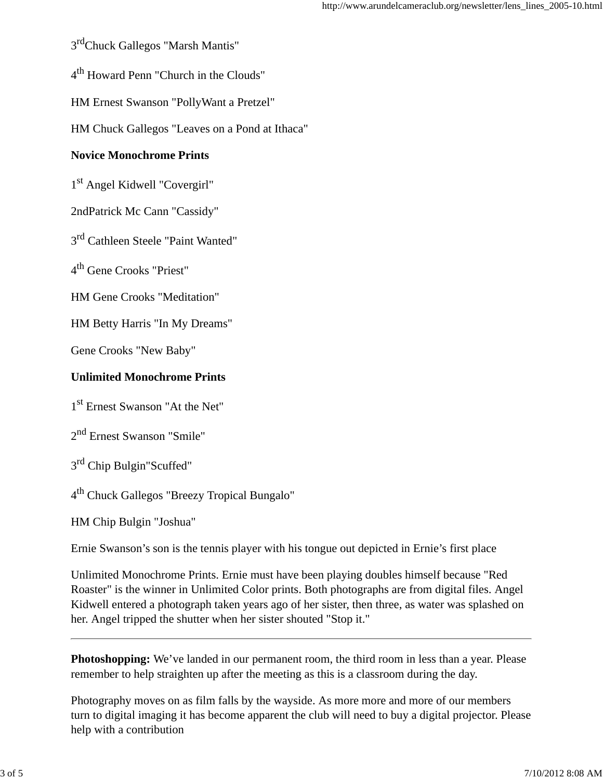3<sup>rd</sup>Chuck Gallegos "Marsh Mantis"

4<sup>th</sup> Howard Penn "Church in the Clouds"

HM Ernest Swanson "PollyWant a Pretzel"

HM Chuck Gallegos "Leaves on a Pond at Ithaca"

#### **Novice Monochrome Prints**

1 st Angel Kidwell "Covergirl"

2ndPatrick Mc Cann "Cassidy"

3<sup>rd</sup> Cathleen Steele "Paint Wanted"

4<sup>th</sup> Gene Crooks "Priest"

HM Gene Crooks "Meditation"

HM Betty Harris "In My Dreams"

Gene Crooks "New Baby"

#### **Unlimited Monochrome Prints**

1 st Ernest Swanson "At the Net"

2<sup>nd</sup> Ernest Swanson "Smile"

3<sup>rd</sup> Chip Bulgin"Scuffed"

4<sup>th</sup> Chuck Gallegos "Breezy Tropical Bungalo"

HM Chip Bulgin "Joshua"

Ernie Swanson's son is the tennis player with his tongue out depicted in Ernie's first place

Unlimited Monochrome Prints. Ernie must have been playing doubles himself because "Red Roaster" is the winner in Unlimited Color prints. Both photographs are from digital files. Angel Kidwell entered a photograph taken years ago of her sister, then three, as water was splashed on her. Angel tripped the shutter when her sister shouted "Stop it."

**Photoshopping:** We've landed in our permanent room, the third room in less than a year. Please remember to help straighten up after the meeting as this is a classroom during the day.

Photography moves on as film falls by the wayside. As more more and more of our members turn to digital imaging it has become apparent the club will need to buy a digital projector. Please help with a contribution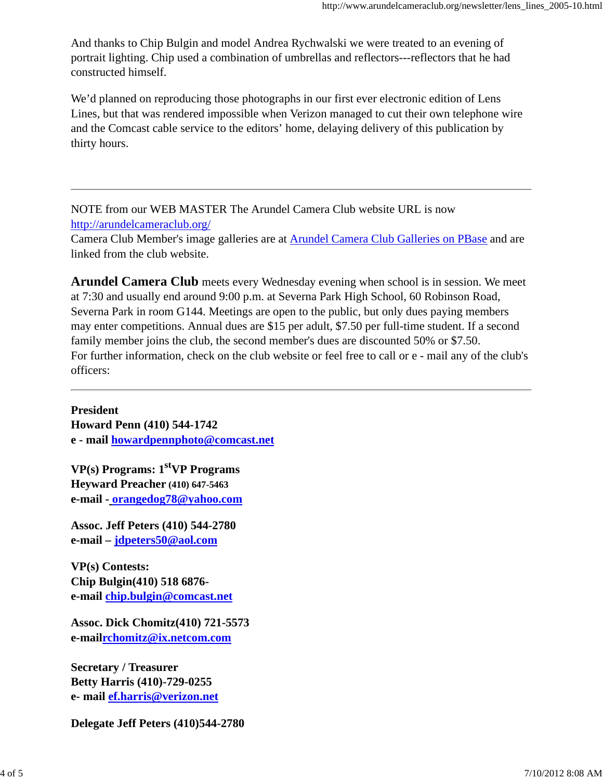And thanks to Chip Bulgin and model Andrea Rychwalski we were treated to an evening of portrait lighting. Chip used a combination of umbrellas and reflectors---reflectors that he had constructed himself.

We'd planned on reproducing those photographs in our first ever electronic edition of Lens Lines, but that was rendered impossible when Verizon managed to cut their own telephone wire and the Comcast cable service to the editors' home, delaying delivery of this publication by thirty hours.

NOTE from our WEB MASTER The Arundel Camera Club website URL is now http://arundelcameraclub.org/

Camera Club Member's image galleries are at Arundel Camera Club Galleries on PBase and are linked from the club website.

**Arundel Camera Club** meets every Wednesday evening when school is in session. We meet at 7:30 and usually end around 9:00 p.m. at Severna Park High School, 60 Robinson Road, Severna Park in room G144. Meetings are open to the public, but only dues paying members may enter competitions. Annual dues are \$15 per adult, \$7.50 per full-time student. If a second family member joins the club, the second member's dues are discounted 50% or \$7.50. For further information, check on the club website or feel free to call or e - mail any of the club's officers:

**President Howard Penn (410) 544-1742 e - mail howardpennphoto@comcast.net**

**VP(s) Programs: 1stVP Programs Heyward Preacher (410) 647-5463 e-mail - orangedog78@yahoo.com**

**Assoc. Jeff Peters (410) 544-2780 e-mail – jdpeters50@aol.com**

**VP(s) Contests: Chip Bulgin(410) 518 6876 e-mail chip.bulgin@comcast.net**

**Assoc. Dick Chomitz(410) 721-5573 e-mailrchomitz@ix.netcom.com**

**Secretary / Treasurer Betty Harris (410)-729-0255 e- mail ef.harris@verizon.net**

**Delegate Jeff Peters (410)544-2780**